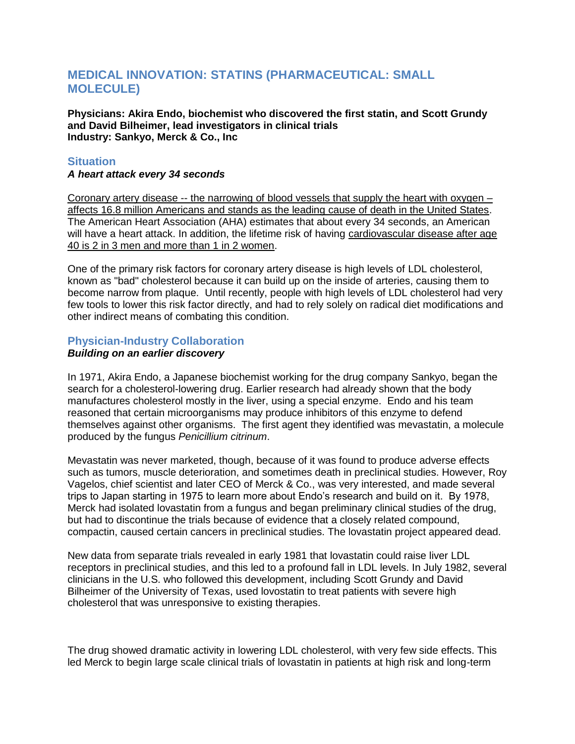# **MEDICAL INNOVATION: STATINS (PHARMACEUTICAL: SMALL MOLECULE)**

**Physicians: Akira Endo, biochemist who discovered the first statin, and Scott Grundy and David Bilheimer, lead investigators in clinical trials Industry: Sankyo, Merck & Co., Inc**

## **Situation**

*A heart attack every 34 seconds*

Coronary artery disease -- the narrowing of blood vessels that supply the heart with oxygen – affects 16.8 million Americans and stands as the leading cause of death in the United States. The American Heart Association (AHA) estimates that about every 34 seconds, an American will have a heart attack. In addition, the lifetime risk of having cardiovascular disease after age 40 is 2 in 3 men and more than 1 in 2 women.

One of the primary risk factors for coronary artery disease is high levels of LDL cholesterol, known as "bad" cholesterol because it can build up on the inside of arteries, causing them to become narrow from plaque. Until recently, people with high levels of LDL cholesterol had very few tools to lower this risk factor directly, and had to rely solely on radical diet modifications and other indirect means of combating this condition.

# **Physician-Industry Collaboration**

## *Building on an earlier discovery*

In 1971, Akira Endo, a Japanese biochemist working for the drug company Sankyo, began the search for a cholesterol-lowering drug. Earlier research had already shown that the body manufactures cholesterol mostly in the liver, using a special enzyme. Endo and his team reasoned that certain microorganisms may produce inhibitors of this enzyme to defend themselves against other organisms. The first agent they identified was mevastatin, a molecule produced by the fungus *Penicillium citrinum*.

Mevastatin was never marketed, though, because of it was found to produce adverse effects such as tumors, muscle deterioration, and sometimes death in preclinical studies. However, Roy Vagelos, chief scientist and later CEO of Merck & Co., was very interested, and made several trips to Japan starting in 1975 to learn more about Endo's research and build on it. By 1978, Merck had isolated lovastatin from a fungus and began preliminary clinical studies of the drug, but had to discontinue the trials because of evidence that a closely related compound, compactin, caused certain cancers in preclinical studies. The lovastatin project appeared dead.

New data from separate trials revealed in early 1981 that lovastatin could raise liver LDL receptors in preclinical studies, and this led to a profound fall in LDL levels. In July 1982, several clinicians in the U.S. who followed this development, including Scott Grundy and David Bilheimer of the University of Texas, used lovostatin to treat patients with severe high cholesterol that was unresponsive to existing therapies.

The drug showed dramatic activity in lowering LDL cholesterol, with very few side effects. This led Merck to begin large scale clinical trials of lovastatin in patients at high risk and long-term